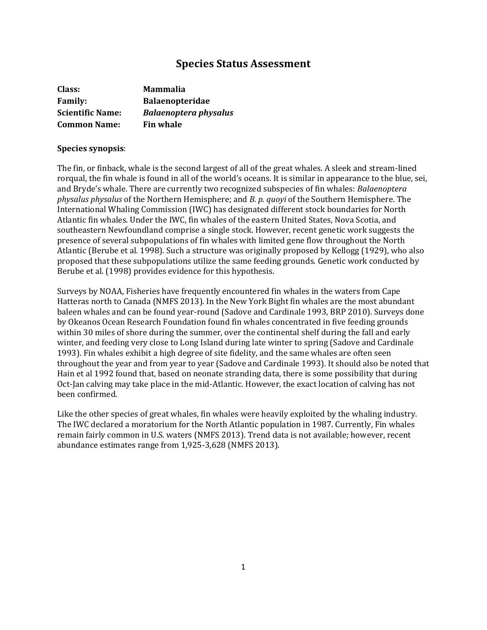# **Species Status Assessment**

| Class:                  | <b>Mammalia</b>              |
|-------------------------|------------------------------|
| <b>Family:</b>          | <b>Balaenopteridae</b>       |
| <b>Scientific Name:</b> | <b>Balaenoptera physalus</b> |
| <b>Common Name:</b>     | <b>Fin whale</b>             |

#### **Species synopsis**:

The fin, or finback, whale is the second largest of all of the great whales. A sleek and stream-lined rorqual, the fin whale is found in all of the world's oceans. It is similar in appearance to the blue, sei, and Bryde's whale. There are currently two recognized subspecies of fin whales: *Balaenoptera physalus physalus* of the Northern Hemisphere; and *B. p. quoyi* of the Southern Hemisphere. The International Whaling Commission (IWC) has designated different stock boundaries for North Atlantic fin whales. Under the IWC, fin whales of the eastern United States, Nova Scotia, and southeastern Newfoundland comprise a single stock. However, recent genetic work suggests the presence of several subpopulations of fin whales with limited gene flow throughout the North Atlantic (Berube et al. 1998). Such a structure was originally proposed by Kellogg (1929), who also proposed that these subpopulations utilize the same feeding grounds. Genetic work conducted by Berube et al. (1998) provides evidence for this hypothesis.

Surveys by NOAA, Fisheries have frequently encountered fin whales in the waters from Cape Hatteras north to Canada (NMFS 2013). In the New York Bight fin whales are the most abundant baleen whales and can be found year-round (Sadove and Cardinale 1993, BRP 2010). Surveys done by Okeanos Ocean Research Foundation found fin whales concentrated in five feeding grounds within 30 miles of shore during the summer, over the continental shelf during the fall and early winter, and feeding very close to Long Island during late winter to spring (Sadove and Cardinale 1993). Fin whales exhibit a high degree of site fidelity, and the same whales are often seen throughout the year and from year to year (Sadove and Cardinale 1993). It should also be noted that Hain et al 1992 found that, based on neonate stranding data, there is some possibility that during Oct-Jan calving may take place in the mid-Atlantic. However, the exact location of calving has not been confirmed.

Like the other species of great whales, fin whales were heavily exploited by the whaling industry. The IWC declared a moratorium for the North Atlantic population in 1987. Currently, Fin whales remain fairly common in U.S. waters (NMFS 2013). Trend data is not available; however, recent abundance estimates range from 1,925-3,628 (NMFS 2013).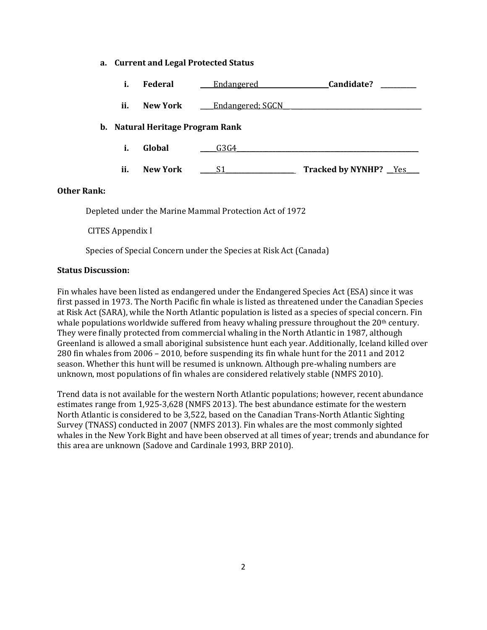#### **a. Current and Legal Protected Status**

| i.  | Federal                          | Endangered       | Candidate?                   |
|-----|----------------------------------|------------------|------------------------------|
| ii. | <b>New York</b>                  | Endangered; SGCN |                              |
|     | b. Natural Heritage Program Rank |                  |                              |
| i.  | Global                           | G3G4             |                              |
| ii. | <b>New York</b>                  | S1               | <b>Tracked by NYNHP?</b> Yes |

### **Other Rank:**

Depleted under the Marine Mammal Protection Act of 1972

CITES Appendix I

Species of Special Concern under the Species at Risk Act (Canada)

### **Status Discussion:**

Fin whales have been listed as endangered under the Endangered Species Act (ESA) since it was first passed in 1973. The North Pacific fin whale is listed as threatened under the Canadian Species at Risk Act (SARA), while the North Atlantic population is listed as a species of special concern. Fin whale populations worldwide suffered from heavy whaling pressure throughout the 20<sup>th</sup> century. They were finally protected from commercial whaling in the North Atlantic in 1987, although Greenland is allowed a small aboriginal subsistence hunt each year. Additionally, Iceland killed over 280 fin whales from 2006 – 2010, before suspending its fin whale hunt for the 2011 and 2012 season. Whether this hunt will be resumed is unknown. Although pre-whaling numbers are unknown, most populations of fin whales are considered relatively stable (NMFS 2010).

Trend data is not available for the western North Atlantic populations; however, recent abundance estimates range from 1,925-3,628 (NMFS 2013). The best abundance estimate for the western North Atlantic is considered to be 3,522, based on the Canadian Trans-North Atlantic Sighting Survey (TNASS) conducted in 2007 (NMFS 2013). Fin whales are the most commonly sighted whales in the New York Bight and have been observed at all times of year; trends and abundance for this area are unknown (Sadove and Cardinale 1993, BRP 2010).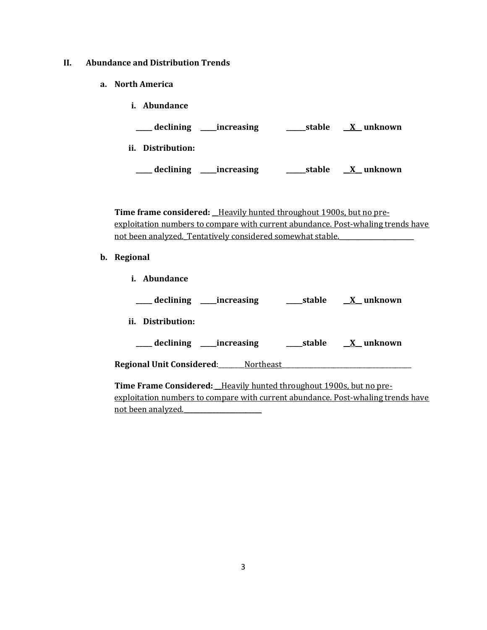- **II. Abundance and Distribution Trends**
	- **a. North America**

| Abundance<br>i.           |        |                         |
|---------------------------|--------|-------------------------|
| declining<br>__increasing | stable | $\underline{X}$ unknown |
| ii.<br>Distribution:      |        |                         |
| declining<br>increasing   | stable | X unknown               |

Time frame considered: Heavily hunted throughout 1900s, but no preexploitation numbers to compare with current abundance. Post-whaling trends have not been analyzed. Tentatively considered somewhat stable.

**b. Regional** 

| <i>i.</i> Abundance                        |        |                  |
|--------------------------------------------|--------|------------------|
| ____ declining _____increasing             | stable | <u>X</u> unknown |
| ii. Distribution:                          |        |                  |
| ____ declining _____ increasing            |        | stable X unknown |
| <b>Regional Unit Considered:</b> Northeast |        |                  |
|                                            |        |                  |

**Time Frame Considered: \_\_**Heavily hunted throughout 1900s, but no preexploitation numbers to compare with current abundance. Post-whaling trends have not been analyzed.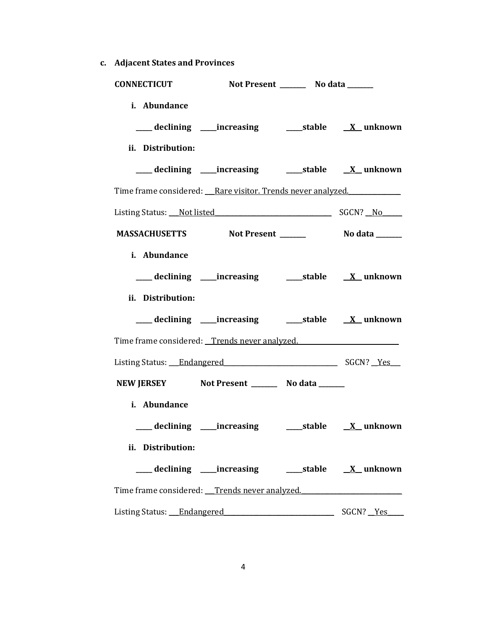**c. Adjacent States and Provinces**

| <b>CONNECTICUT</b>                                          | Not Present _________ No data ______                                             |  |
|-------------------------------------------------------------|----------------------------------------------------------------------------------|--|
| i. Abundance                                                |                                                                                  |  |
|                                                             | ___ declining ____increasing ____________stable ________________________________ |  |
| ii. Distribution:                                           |                                                                                  |  |
|                                                             |                                                                                  |  |
| Time frame considered: Rare visitor. Trends never analyzed. |                                                                                  |  |
| Listing Status: Not listed Status: Not listed SGCN? No      |                                                                                  |  |
| MASSACHUSETTS Not Present ________ No data ______           |                                                                                  |  |
| i. Abundance                                                |                                                                                  |  |
|                                                             | ___ declining ____increasing ______stable _____X_unknown                         |  |
| ii. Distribution:                                           |                                                                                  |  |
|                                                             | ___ declining ____increasing ______stable _____X_unknown                         |  |
| Time frame considered: Trends never analyzed.               |                                                                                  |  |
| Listing Status: Endangered SGCN? Yes                        |                                                                                  |  |
| NEW JERSEY Not Present __________ No data _______           |                                                                                  |  |
| i. Abundance                                                |                                                                                  |  |
|                                                             | ___ declining ____increasing ______stable _____X_unknown                         |  |
| ii. Distribution:                                           |                                                                                  |  |
|                                                             | ___ declining ____increasing ______stable _____X_unknown                         |  |
| Time frame considered: Trends never analyzed.               |                                                                                  |  |
| Listing Status: Endangered SGCN? Yes                        |                                                                                  |  |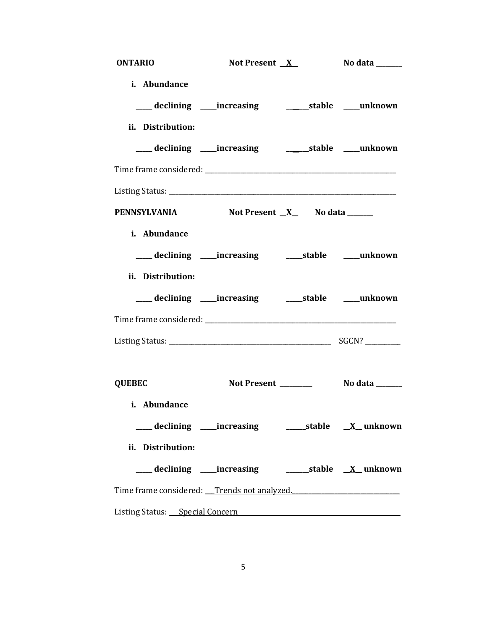| <b>ONTARIO</b>                                                                    | Not Present $X$ | No data _______ |
|-----------------------------------------------------------------------------------|-----------------|-----------------|
| i. Abundance                                                                      |                 |                 |
| ___ declining ____increasing ____________stable ____unknown                       |                 |                 |
| ii. Distribution:                                                                 |                 |                 |
|                                                                                   |                 |                 |
|                                                                                   |                 |                 |
|                                                                                   |                 |                 |
| PENNSYLVANIA Not Present X No data ______                                         |                 |                 |
| i. Abundance                                                                      |                 |                 |
| ___ declining ____increasing ______stable ____unknown                             |                 |                 |
| ii. Distribution:                                                                 |                 |                 |
|                                                                                   |                 |                 |
|                                                                                   |                 |                 |
|                                                                                   |                 |                 |
| <b>QUEBEC</b>                                                                     |                 |                 |
| i. Abundance                                                                      |                 |                 |
| ___declining ___increasing ______stable <u>X</u> _unknown                         |                 |                 |
| ii. Distribution:                                                                 |                 |                 |
|                                                                                   |                 |                 |
| Time frame considered: Trends not analyzed.                                       |                 |                 |
| Listing Status: Special Concern Superior Contract Concern Status: Special Concern |                 |                 |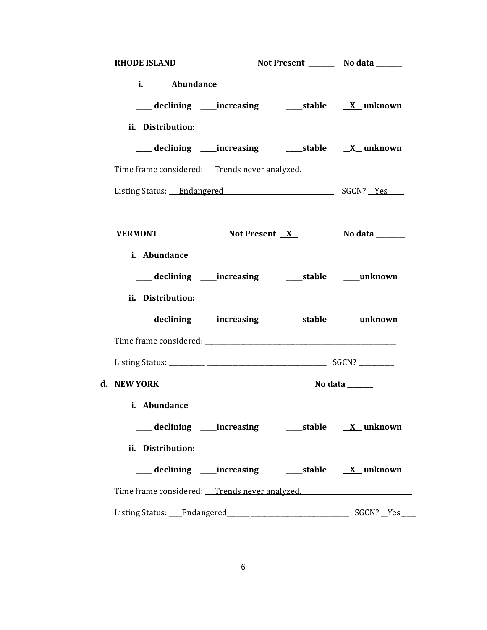| <b>RHODE ISLAND</b>                                      |  | Not Present _________ No data _______ |
|----------------------------------------------------------|--|---------------------------------------|
| i. Abundance                                             |  |                                       |
|                                                          |  |                                       |
| ii. Distribution:                                        |  |                                       |
|                                                          |  |                                       |
| Time frame considered: Trends never analyzed.            |  |                                       |
| Listing Status: Endangered SGCN? Yes                     |  |                                       |
|                                                          |  |                                       |
| <b>VERMONT</b>                                           |  | Not Present <u>X</u> No data ______   |
| i. Abundance                                             |  |                                       |
| ___ declining ____increasing _______stable _____unknown  |  |                                       |
| ii. Distribution:                                        |  |                                       |
|                                                          |  |                                       |
|                                                          |  |                                       |
|                                                          |  |                                       |
| d. NEW YORK                                              |  | No data ______                        |
| i. Abundance                                             |  |                                       |
| ___ declining ____increasing ______stable _____X_unknown |  |                                       |
| ii. Distribution:                                        |  |                                       |
|                                                          |  |                                       |
| Time frame considered: Trends never analyzed.            |  |                                       |
|                                                          |  |                                       |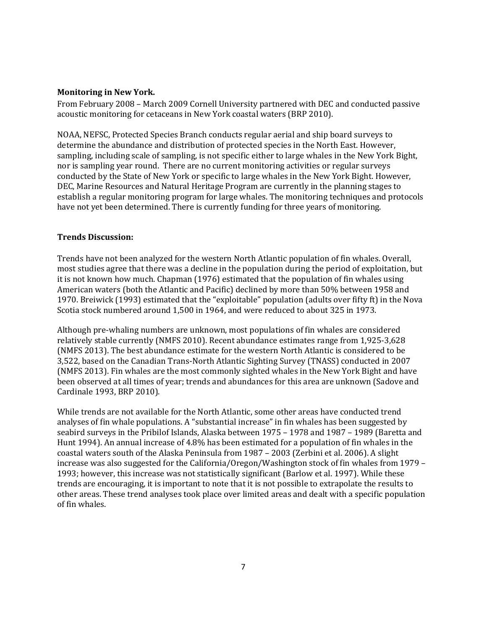## **Monitoring in New York.**

From February 2008 – March 2009 Cornell University partnered with DEC and conducted passive acoustic monitoring for cetaceans in New York coastal waters (BRP 2010).

NOAA, NEFSC, Protected Species Branch conducts regular aerial and ship board surveys to determine the abundance and distribution of protected species in the North East. However, sampling, including scale of sampling, is not specific either to large whales in the New York Bight, nor is sampling year round. There are no current monitoring activities or regular surveys conducted by the State of New York or specific to large whales in the New York Bight. However, DEC, Marine Resources and Natural Heritage Program are currently in the planning stages to establish a regular monitoring program for large whales. The monitoring techniques and protocols have not yet been determined. There is currently funding for three years of monitoring.

## **Trends Discussion:**

Trends have not been analyzed for the western North Atlantic population of fin whales. Overall, most studies agree that there was a decline in the population during the period of exploitation, but it is not known how much. Chapman (1976) estimated that the population of fin whales using American waters (both the Atlantic and Pacific) declined by more than 50% between 1958 and 1970. Breiwick (1993) estimated that the "exploitable" population (adults over fifty ft) in the Nova Scotia stock numbered around 1,500 in 1964, and were reduced to about 325 in 1973.

Although pre-whaling numbers are unknown, most populations of fin whales are considered relatively stable currently (NMFS 2010). Recent abundance estimates range from 1,925-3,628 (NMFS 2013). The best abundance estimate for the western North Atlantic is considered to be 3,522, based on the Canadian Trans-North Atlantic Sighting Survey (TNASS) conducted in 2007 (NMFS 2013). Fin whales are the most commonly sighted whales in the New York Bight and have been observed at all times of year; trends and abundances for this area are unknown (Sadove and Cardinale 1993, BRP 2010).

While trends are not available for the North Atlantic, some other areas have conducted trend analyses of fin whale populations. A "substantial increase" in fin whales has been suggested by seabird surveys in the Pribilof Islands, Alaska between 1975 – 1978 and 1987 – 1989 (Baretta and Hunt 1994). An annual increase of 4.8% has been estimated for a population of fin whales in the coastal waters south of the Alaska Peninsula from 1987 – 2003 (Zerbini et al. 2006). A slight increase was also suggested for the California/Oregon/Washington stock of fin whales from 1979 – 1993; however, this increase was not statistically significant (Barlow et al. 1997). While these trends are encouraging, it is important to note that it is not possible to extrapolate the results to other areas. These trend analyses took place over limited areas and dealt with a specific population of fin whales.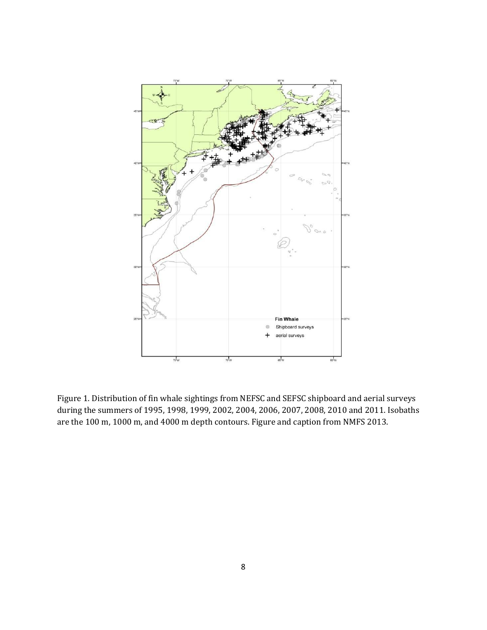

Figure 1. Distribution of fin whale sightings from NEFSC and SEFSC shipboard and aerial surveys during the summers of 1995, 1998, 1999, 2002, 2004, 2006, 2007, 2008, 2010 and 2011. Isobaths are the 100 m, 1000 m, and 4000 m depth contours. Figure and caption from NMFS 2013.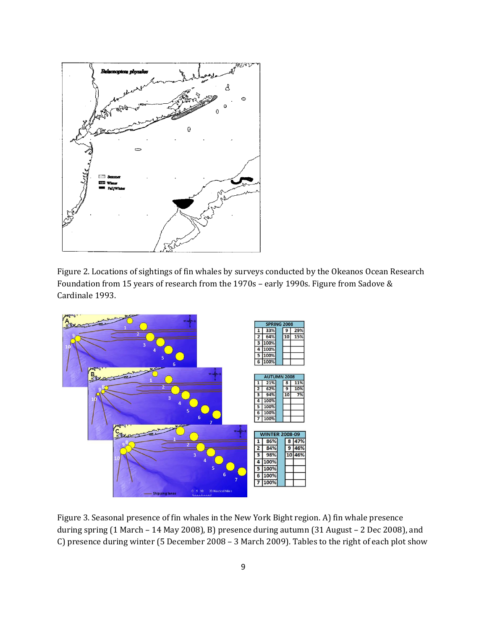

Figure 2. Locations of sightings of fin whales by surveys conducted by the Okeanos Ocean Research Foundation from 15 years of research from the 1970s – early 1990s. Figure from Sadove & Cardinale 1993.



Figure 3. Seasonal presence of fin whales in the New York Bight region. A) fin whale presence during spring (1 March – 14 May 2008), B) presence during autumn (31 August – 2 Dec 2008), and C) presence during winter (5 December 2008 – 3 March 2009). Tables to the right of each plot show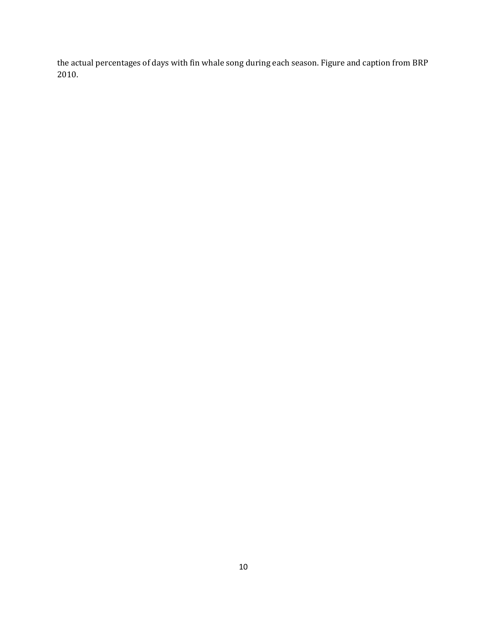the actual percentages of days with fin whale song during each season. Figure and caption from BRP 2010.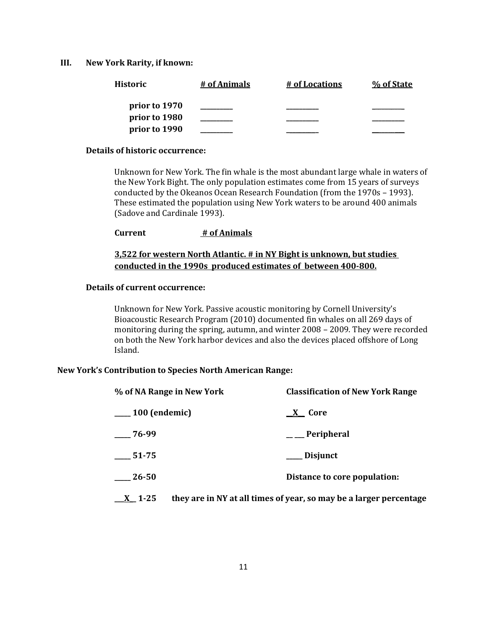#### **III. New York Rarity, if known:**

| Historic      | # of Animals | # of Locations | % of State |
|---------------|--------------|----------------|------------|
| prior to 1970 |              |                |            |
| prior to 1980 |              |                |            |
| prior to 1990 |              |                |            |

## **Details of historic occurrence:**

Unknown for New York. The fin whale is the most abundant large whale in waters of the New York Bight. The only population estimates come from 15 years of surveys conducted by the Okeanos Ocean Research Foundation (from the 1970s – 1993). These estimated the population using New York waters to be around 400 animals (Sadove and Cardinale 1993).

**Current # of Animals**

## **3,522 for western North Atlantic. # in NY Bight is unknown, but studies conducted in the 1990s produced estimates of between 400-800.**

#### **Details of current occurrence:**

Unknown for New York. Passive acoustic monitoring by Cornell University's Bioacoustic Research Program (2010) documented fin whales on all 269 days of monitoring during the spring, autumn, and winter 2008 – 2009. They were recorded on both the New York harbor devices and also the devices placed offshore of Long Island.

#### **New York's Contribution to Species North American Range:**

| % of NA Range in New York | <b>Classification of New York Range</b>                            |
|---------------------------|--------------------------------------------------------------------|
| $\frac{100}{2}$ (endemic) | X Core                                                             |
| $-76-99$                  | $\_\_$ Peripheral                                                  |
| 51-75                     | ___ Disjunct                                                       |
| 26-50                     | Distance to core population:                                       |
| $X_{-}$ 1-25              | they are in NY at all times of year, so may be a larger percentage |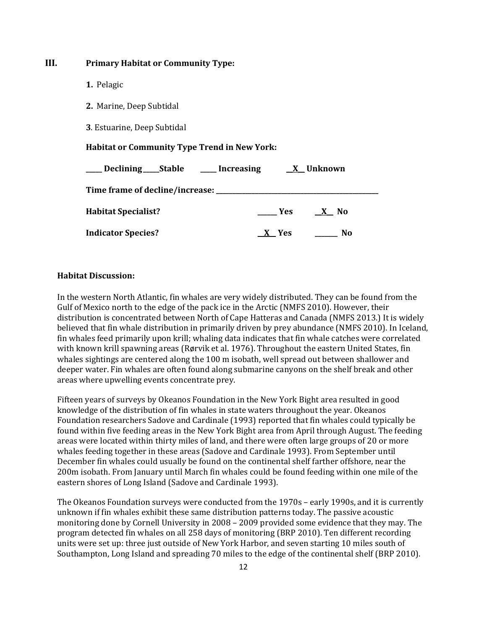| III. | <b>Primary Habitat or Community Type:</b>                    |                            |
|------|--------------------------------------------------------------|----------------------------|
|      | 1. Pelagic                                                   |                            |
|      | 2. Marine, Deep Subtidal                                     |                            |
|      | 3. Estuarine, Deep Subtidal                                  |                            |
|      | <b>Habitat or Community Type Trend in New York:</b>          |                            |
|      | ____ Declining____Stable ______ Increasing _____ X__ Unknown |                            |
|      |                                                              |                            |
|      | <b>Habitat Specialist?</b>                                   | $Yes$ X No                 |
|      | <b>Indicator Species?</b>                                    | _X__ Yes<br>N <sub>0</sub> |
|      |                                                              |                            |

### **Habitat Discussion:**

In the western North Atlantic, fin whales are very widely distributed. They can be found from the Gulf of Mexico north to the edge of the pack ice in the Arctic (NMFS 2010). However, their distribution is concentrated between North of Cape Hatteras and Canada (NMFS 2013.) It is widely believed that fin whale distribution in primarily driven by prey abundance (NMFS 2010). In Iceland, fin whales feed primarily upon krill; whaling data indicates that fin whale catches were correlated with known krill spawning areas (Rørvik et al. 1976). Throughout the eastern United States, fin whales sightings are centered along the 100 m isobath, well spread out between shallower and deeper water. Fin whales are often found along submarine canyons on the shelf break and other areas where upwelling events concentrate prey.

Fifteen years of surveys by Okeanos Foundation in the New York Bight area resulted in good knowledge of the distribution of fin whales in state waters throughout the year. Okeanos Foundation researchers Sadove and Cardinale (1993) reported that fin whales could typically be found within five feeding areas in the New York Bight area from April through August. The feeding areas were located within thirty miles of land, and there were often large groups of 20 or more whales feeding together in these areas (Sadove and Cardinale 1993). From September until December fin whales could usually be found on the continental shelf farther offshore, near the 200m isobath. From January until March fin whales could be found feeding within one mile of the eastern shores of Long Island (Sadove and Cardinale 1993).

The Okeanos Foundation surveys were conducted from the 1970s – early 1990s, and it is currently unknown if fin whales exhibit these same distribution patterns today. The passive acoustic monitoring done by Cornell University in 2008 – 2009 provided some evidence that they may. The program detected fin whales on all 258 days of monitoring (BRP 2010). Ten different recording units were set up: three just outside of New York Harbor, and seven starting 10 miles south of Southampton, Long Island and spreading 70 miles to the edge of the continental shelf (BRP 2010).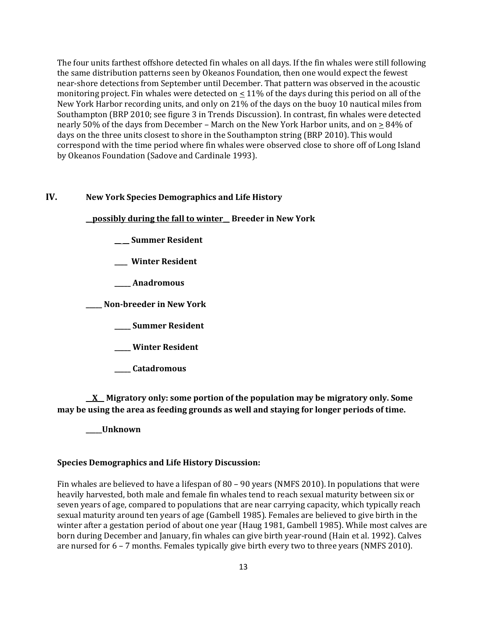The four units farthest offshore detected fin whales on all days. If the fin whales were still following the same distribution patterns seen by Okeanos Foundation, then one would expect the fewest near-shore detections from September until December. That pattern was observed in the acoustic monitoring project. Fin whales were detected on  $\leq 11\%$  of the days during this period on all of the New York Harbor recording units, and only on 21% of the days on the buoy 10 nautical miles from Southampton (BRP 2010; see figure 3 in Trends Discussion). In contrast, fin whales were detected nearly 50% of the days from December – March on the New York Harbor units, and on  $\geq$  84% of days on the three units closest to shore in the Southampton string (BRP 2010). This would correspond with the time period where fin whales were observed close to shore off of Long Island by Okeanos Foundation (Sadove and Cardinale 1993).

## **IV. New York Species Demographics and Life History**

**\_\_possibly during the fall to winter\_\_ Breeder in New York**

- **\_\_ \_\_ Summer Resident**
- **\_\_\_\_ Winter Resident**
- **\_\_\_\_\_ Anadromous**

**\_\_\_\_\_ Non-breeder in New York**

- **\_\_\_\_\_ Summer Resident**
- **\_\_\_\_\_ Winter Resident**
- **\_\_\_\_\_ Catadromous**

**\_\_X\_\_ Migratory only: some portion of the population may be migratory only. Some may be using the area as feeding grounds as well and staying for longer periods of time.**

**\_\_\_\_\_Unknown**

#### **Species Demographics and Life History Discussion:**

Fin whales are believed to have a lifespan of 80 – 90 years (NMFS 2010). In populations that were heavily harvested, both male and female fin whales tend to reach sexual maturity between six or seven years of age, compared to populations that are near carrying capacity, which typically reach sexual maturity around ten years of age (Gambell 1985). Females are believed to give birth in the winter after a gestation period of about one year (Haug 1981, Gambell 1985). While most calves are born during December and January, fin whales can give birth year-round (Hain et al. 1992). Calves are nursed for 6 – 7 months. Females typically give birth every two to three years (NMFS 2010).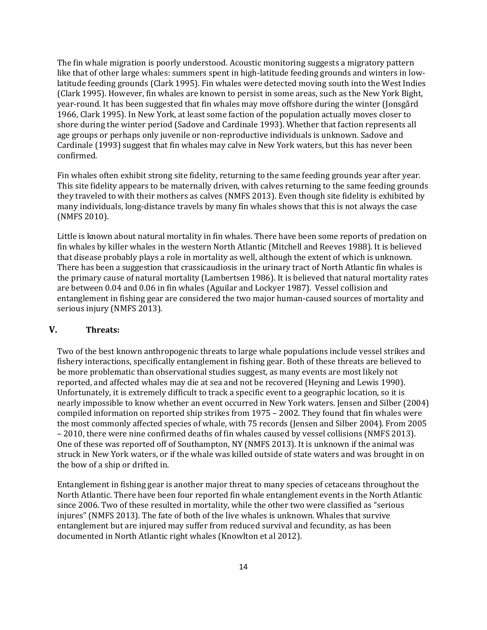The fin whale migration is poorly understood. Acoustic monitoring suggests a migratory pattern like that of other large whales: summers spent in high-latitude feeding grounds and winters in lowlatitude feeding grounds (Clark 1995). Fin whales were detected moving south into the West Indies (Clark 1995). However, fin whales are known to persist in some areas, such as the New York Bight, year-round. It has been suggested that fin whales may move offshore during the winter (Jonsgård 1966, Clark 1995). In New York, at least some faction of the population actually moves closer to shore during the winter period (Sadove and Cardinale 1993). Whether that faction represents all age groups or perhaps only juvenile or non-reproductive individuals is unknown. Sadove and Cardinale (1993) suggest that fin whales may calve in New York waters, but this has never been confirmed.

Fin whales often exhibit strong site fidelity, returning to the same feeding grounds year after year. This site fidelity appears to be maternally driven, with calves returning to the same feeding grounds they traveled to with their mothers as calves (NMFS 2013). Even though site fidelity is exhibited by many individuals, long-distance travels by many fin whales shows that this is not always the case (NMFS 2010).

Little is known about natural mortality in fin whales. There have been some reports of predation on fin whales by killer whales in the western North Atlantic (Mitchell and Reeves 1988). It is believed that disease probably plays a role in mortality as well, although the extent of which is unknown. There has been a suggestion that crassicaudiosis in the urinary tract of North Atlantic fin whales is the primary cause of natural mortality (Lambertsen 1986). It is believed that natural mortality rates are between 0.04 and 0.06 in fin whales (Aguilar and Lockyer 1987). Vessel collision and entanglement in fishing gear are considered the two major human-caused sources of mortality and serious injury (NMFS 2013).

## **V. Threats:**

Two of the best known anthropogenic threats to large whale populations include vessel strikes and fishery interactions, specifically entanglement in fishing gear. Both of these threats are believed to be more problematic than observational studies suggest, as many events are most likely not reported, and affected whales may die at sea and not be recovered (Heyning and Lewis 1990). Unfortunately, it is extremely difficult to track a specific event to a geographic location, so it is nearly impossible to know whether an event occurred in New York waters. Jensen and Silber (2004) compiled information on reported ship strikes from 1975 – 2002. They found that fin whales were the most commonly affected species of whale, with 75 records (Jensen and Silber 2004). From 2005 – 2010, there were nine confirmed deaths of fin whales caused by vessel collisions (NMFS 2013). One of these was reported off of Southampton, NY (NMFS 2013). It is unknown if the animal was struck in New York waters, or if the whale was killed outside of state waters and was brought in on the bow of a ship or drifted in.

Entanglement in fishing gear is another major threat to many species of cetaceans throughout the North Atlantic. There have been four reported fin whale entanglement events in the North Atlantic since 2006. Two of these resulted in mortality, while the other two were classified as "serious injures" (NMFS 2013). The fate of both of the live whales is unknown. Whales that survive entanglement but are injured may suffer from reduced survival and fecundity, as has been documented in North Atlantic right whales (Knowlton et al 2012).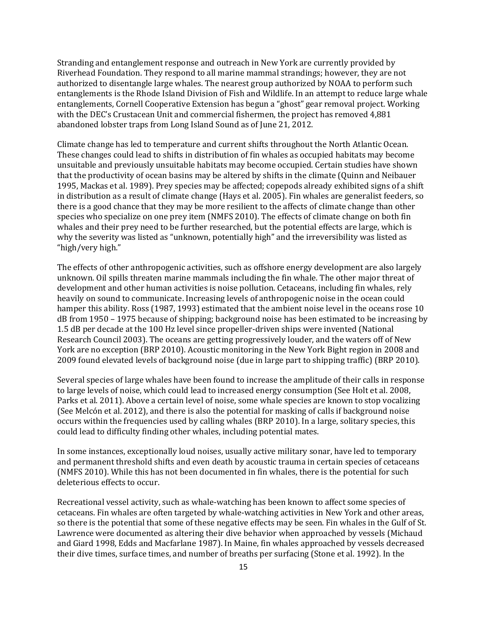Stranding and entanglement response and outreach in New York are currently provided by Riverhead Foundation. They respond to all marine mammal strandings; however, they are not authorized to disentangle large whales. The nearest group authorized by NOAA to perform such entanglements is the Rhode Island Division of Fish and Wildlife. In an attempt to reduce large whale entanglements, Cornell Cooperative Extension has begun a "ghost" gear removal project. Working with the DEC's Crustacean Unit and commercial fishermen, the project has removed 4,881 abandoned lobster traps from Long Island Sound as of June 21, 2012.

Climate change has led to temperature and current shifts throughout the North Atlantic Ocean. These changes could lead to shifts in distribution of fin whales as occupied habitats may become unsuitable and previously unsuitable habitats may become occupied. Certain studies have shown that the productivity of ocean basins may be altered by shifts in the climate (Quinn and Neibauer 1995, Mackas et al. 1989). Prey species may be affected; copepods already exhibited signs of a shift in distribution as a result of climate change (Hays et al. 2005). Fin whales are generalist feeders, so there is a good chance that they may be more resilient to the affects of climate change than other species who specialize on one prey item (NMFS 2010). The effects of climate change on both fin whales and their prey need to be further researched, but the potential effects are large, which is why the severity was listed as "unknown, potentially high" and the irreversibility was listed as "high/very high."

The effects of other anthropogenic activities, such as offshore energy development are also largely unknown. Oil spills threaten marine mammals including the fin whale. The other major threat of development and other human activities is noise pollution. Cetaceans, including fin whales, rely heavily on sound to communicate. Increasing levels of anthropogenic noise in the ocean could hamper this ability. Ross (1987, 1993) estimated that the ambient noise level in the oceans rose 10 dB from 1950 – 1975 because of shipping; background noise has been estimated to be increasing by 1.5 dB per decade at the 100 Hz level since propeller-driven ships were invented (National Research Council 2003). The oceans are getting progressively louder, and the waters off of New York are no exception (BRP 2010). Acoustic monitoring in the New York Bight region in 2008 and 2009 found elevated levels of background noise (due in large part to shipping traffic) (BRP 2010).

Several species of large whales have been found to increase the amplitude of their calls in response to large levels of noise, which could lead to increased energy consumption (See Holt et al. 2008, Parks et al. 2011). Above a certain level of noise, some whale species are known to stop vocalizing (See Melcón et al. 2012), and there is also the potential for masking of calls if background noise occurs within the frequencies used by calling whales (BRP 2010). In a large, solitary species, this could lead to difficulty finding other whales, including potential mates.

In some instances, exceptionally loud noises, usually active military sonar, have led to temporary and permanent threshold shifts and even death by acoustic trauma in certain species of cetaceans (NMFS 2010). While this has not been documented in fin whales, there is the potential for such deleterious effects to occur.

Recreational vessel activity, such as whale-watching has been known to affect some species of cetaceans. Fin whales are often targeted by whale-watching activities in New York and other areas, so there is the potential that some of these negative effects may be seen. Fin whales in the Gulf of St. Lawrence were documented as altering their dive behavior when approached by vessels (Michaud and Giard 1998, Edds and Macfarlane 1987). In Maine, fin whales approached by vessels decreased their dive times, surface times, and number of breaths per surfacing (Stone et al. 1992). In the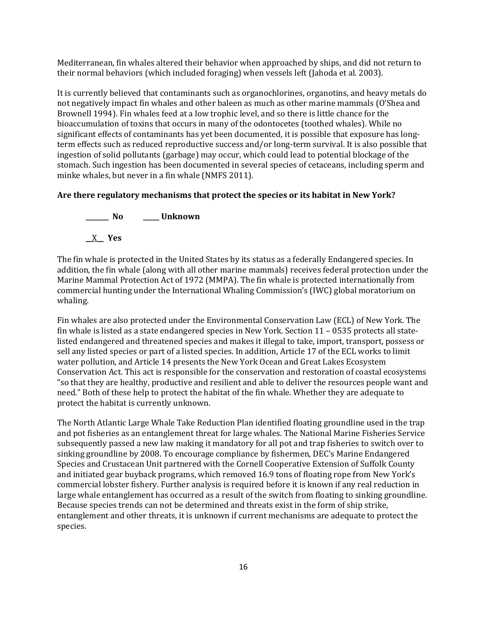Mediterranean, fin whales altered their behavior when approached by ships, and did not return to their normal behaviors (which included foraging) when vessels left (Jahoda et al. 2003).

It is currently believed that contaminants such as organochlorines, organotins, and heavy metals do not negatively impact fin whales and other baleen as much as other marine mammals (O'Shea and Brownell 1994). Fin whales feed at a low trophic level, and so there is little chance for the bioaccumulation of toxins that occurs in many of the odontocetes (toothed whales). While no significant effects of contaminants has yet been documented, it is possible that exposure has longterm effects such as reduced reproductive success and/or long-term survival. It is also possible that ingestion of solid pollutants (garbage) may occur, which could lead to potential blockage of the stomach. Such ingestion has been documented in several species of cetaceans, including sperm and minke whales, but never in a fin whale (NMFS 2011).

## **Are there regulatory mechanisms that protect the species or its habitat in New York?**



The fin whale is protected in the United States by its status as a federally Endangered species. In addition, the fin whale (along with all other marine mammals) receives federal protection under the Marine Mammal Protection Act of 1972 (MMPA). The fin whale is protected internationally from commercial hunting under the International Whaling Commission's (IWC) global moratorium on whaling.

Fin whales are also protected under the Environmental Conservation Law (ECL) of New York. The fin whale is listed as a state endangered species in New York. Section 11 – 0535 protects all statelisted endangered and threatened species and makes it illegal to take, import, transport, possess or sell any listed species or part of a listed species. In addition, Article 17 of the ECL works to limit water pollution, and Article 14 presents the New York Ocean and Great Lakes Ecosystem Conservation Act. This act is responsible for the conservation and restoration of coastal ecosystems "so that they are healthy, productive and resilient and able to deliver the resources people want and need." Both of these help to protect the habitat of the fin whale. Whether they are adequate to protect the habitat is currently unknown.

The North Atlantic Large Whale Take Reduction Plan identified floating groundline used in the trap and pot fisheries as an entanglement threat for large whales. The National Marine Fisheries Service subsequently passed a new law making it mandatory for all pot and trap fisheries to switch over to sinking groundline by 2008. To encourage compliance by fishermen, DEC's Marine Endangered Species and Crustacean Unit partnered with the Cornell Cooperative Extension of Suffolk County and initiated gear buyback programs, which removed 16.9 tons of floating rope from New York's commercial lobster fishery. Further analysis is required before it is known if any real reduction in large whale entanglement has occurred as a result of the switch from floating to sinking groundline. Because species trends can not be determined and threats exist in the form of ship strike, entanglement and other threats, it is unknown if current mechanisms are adequate to protect the species.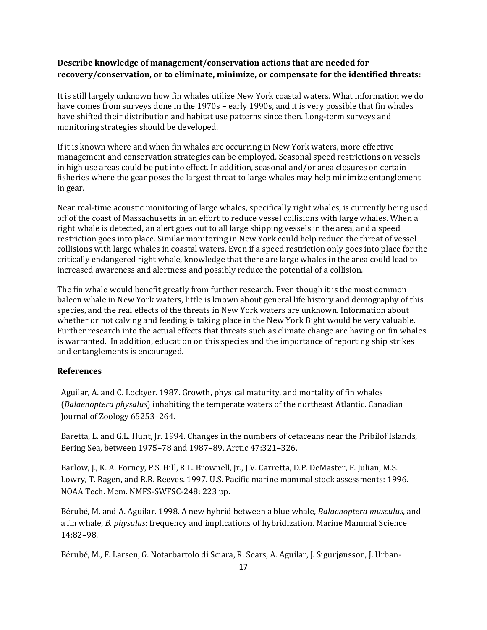## **Describe knowledge of management/conservation actions that are needed for recovery/conservation, or to eliminate, minimize, or compensate for the identified threats:**

It is still largely unknown how fin whales utilize New York coastal waters. What information we do have comes from surveys done in the 1970s – early 1990s, and it is very possible that fin whales have shifted their distribution and habitat use patterns since then. Long-term surveys and monitoring strategies should be developed.

If it is known where and when fin whales are occurring in New York waters, more effective management and conservation strategies can be employed. Seasonal speed restrictions on vessels in high use areas could be put into effect. In addition, seasonal and/or area closures on certain fisheries where the gear poses the largest threat to large whales may help minimize entanglement in gear.

Near real-time acoustic monitoring of large whales, specifically right whales, is currently being used off of the coast of Massachusetts in an effort to reduce vessel collisions with large whales. When a right whale is detected, an alert goes out to all large shipping vessels in the area, and a speed restriction goes into place. Similar monitoring in New York could help reduce the threat of vessel collisions with large whales in coastal waters. Even if a speed restriction only goes into place for the critically endangered right whale, knowledge that there are large whales in the area could lead to increased awareness and alertness and possibly reduce the potential of a collision.

The fin whale would benefit greatly from further research. Even though it is the most common baleen whale in New York waters, little is known about general life history and demography of this species, and the real effects of the threats in New York waters are unknown. Information about whether or not calving and feeding is taking place in the New York Bight would be very valuable. Further research into the actual effects that threats such as climate change are having on fin whales is warranted. In addition, education on this species and the importance of reporting ship strikes and entanglements is encouraged.

## **References**

Aguilar, A. and C. Lockyer. 1987. Growth, physical maturity, and mortality of fin whales (*Balaenoptera physalus*) inhabiting the temperate waters of the northeast Atlantic. Canadian Journal of Zoology 65253–264.

Baretta, L. and G.L. Hunt, Jr. 1994. Changes in the numbers of cetaceans near the Pribilof Islands, Bering Sea, between 1975–78 and 1987–89. Arctic 47:321–326.

Barlow, J., K. A. Forney, P.S. Hill, R.L. Brownell, Jr., J.V. Carretta, D.P. DeMaster, F. Julian, M.S. Lowry, T. Ragen, and R.R. Reeves. 1997. U.S. Pacific marine mammal stock assessments: 1996. NOAA Tech. Mem. NMFS-SWFSC-248: 223 pp.

Bérubé, M. and A. Aguilar. 1998. A new hybrid between a blue whale, *Balaenoptera musculus*, and a fin whale, *B. physalus*: frequency and implications of hybridization. Marine Mammal Science 14:82–98.

Bérubé, M., F. Larsen, G. Notarbartolo di Sciara, R. Sears, A. Aguilar, J. Sigurjønsson, J. Urban-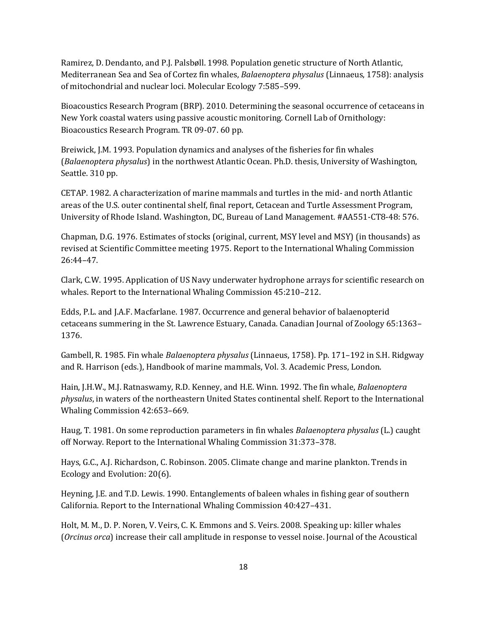Ramirez, D. Dendanto, and P.J. Palsbøll. 1998. Population genetic structure of North Atlantic, Mediterranean Sea and Sea of Cortez fin whales, *Balaenoptera physalus* (Linnaeus, 1758): analysis of mitochondrial and nuclear loci. Molecular Ecology 7:585–599.

Bioacoustics Research Program (BRP). 2010. Determining the seasonal occurrence of cetaceans in New York coastal waters using passive acoustic monitoring. Cornell Lab of Ornithology: Bioacoustics Research Program. TR 09-07. 60 pp.

Breiwick, J.M. 1993. Population dynamics and analyses of the fisheries for fin whales (*Balaenoptera physalus*) in the northwest Atlantic Ocean. Ph.D. thesis, University of Washington, Seattle. 310 pp.

CETAP. 1982. A characterization of marine mammals and turtles in the mid- and north Atlantic areas of the U.S. outer continental shelf, final report, Cetacean and Turtle Assessment Program, University of Rhode Island. Washington, DC, Bureau of Land Management. #AA551-CT8-48: 576.

Chapman, D.G. 1976. Estimates of stocks (original, current, MSY level and MSY) (in thousands) as revised at Scientific Committee meeting 1975. Report to the International Whaling Commission 26:44–47.

Clark, C.W. 1995. Application of US Navy underwater hydrophone arrays for scientific research on whales. Report to the International Whaling Commission 45:210–212.

Edds, P.L. and J.A.F. Macfarlane. 1987. Occurrence and general behavior of balaenopterid cetaceans summering in the St. Lawrence Estuary, Canada. Canadian Journal of Zoology 65:1363– 1376.

Gambell, R. 1985. Fin whale *Balaenoptera physalus* (Linnaeus, 1758). Pp. 171–192 in S.H. Ridgway and R. Harrison (eds.), Handbook of marine mammals, Vol. 3. Academic Press, London.

Hain, J.H.W., M.J. Ratnaswamy, R.D. Kenney, and H.E. Winn. 1992. The fin whale, *Balaenoptera physalus*, in waters of the northeastern United States continental shelf. Report to the International Whaling Commission 42:653–669.

Haug, T. 1981. On some reproduction parameters in fin whales *Balaenoptera physalus* (L.) caught off Norway. Report to the International Whaling Commission 31:373–378.

Hays, G.C., A.J. Richardson, C. Robinson. 2005. Climate change and marine plankton. Trends in Ecology and Evolution: 20(6).

Heyning, J.E. and T.D. Lewis. 1990. Entanglements of baleen whales in fishing gear of southern California. Report to the International Whaling Commission 40:427–431.

Holt, M. M., D. P. Noren, V. Veirs, C. K. Emmons and S. Veirs. 2008. Speaking up: killer whales (*Orcinus orca*) increase their call amplitude in response to vessel noise. Journal of the Acoustical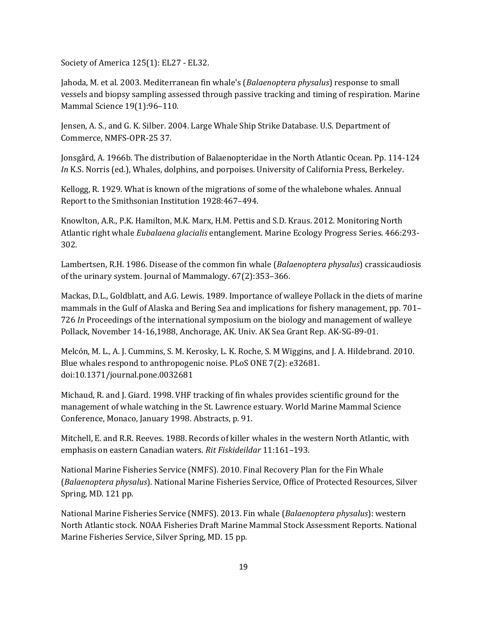Society of America 125(1): EL27 - EL32.

Jahoda, M. et al. 2003. Mediterranean fin whale's (*Balaenoptera physalus*) response to small vessels and biopsy sampling assessed through passive tracking and timing of respiration. Marine Mammal Science 19(1):96–110.

Jensen, A. S., and G. K. Silber. 2004. Large Whale Ship Strike Database. U.S. Department of Commerce, NMFS-OPR-25 37.

Jonsgård, A. 1966b. The distribution of Balaenopteridae in the North Atlantic Ocean. Pp. 114-124 *In* K.S. Norris (ed.), Whales, dolphins, and porpoises. University of California Press, Berkeley.

Kellogg, R. 1929. What is known of the migrations of some of the whalebone whales. Annual Report to the Smithsonian Institution 1928:467–494.

Knowlton, A.R., P.K. Hamilton, M.K. Marx, H.M. Pettis and S.D. Kraus. 2012. Monitoring North Atlantic right whale *Eubalaena glacialis* entanglement. Marine Ecology Progress Series. 466:293- 302.

Lambertsen, R.H. 1986. Disease of the common fin whale (*Balaenoptera physalus*) crassicaudiosis of the urinary system. Journal of Mammalogy. 67(2):353–366.

Mackas, D.L., Goldblatt, and A.G. Lewis. 1989. Importance of walleye Pollack in the diets of marine mammals in the Gulf of Alaska and Bering Sea and implications for fishery management, pp. 701– 726 *In* Proceedings of the international symposium on the biology and management of walleye Pollack, November 14-16,1988, Anchorage, AK. Univ. AK Sea Grant Rep. AK-SG-89-01.

Melcón, M. L., A. J. Cummins, S. M. Kerosky, L. K. Roche, S. M Wiggins, and J. A. Hildebrand. 2010. Blue whales respond to anthropogenic noise. PLoS ONE 7(2): e32681. doi:10.1371/journal.pone.0032681

Michaud, R. and J. Giard. 1998. VHF tracking of fin whales provides scientific ground for the management of whale watching in the St. Lawrence estuary. World Marine Mammal Science Conference, Monaco, January 1998. Abstracts, p. 91.

Mitchell, E. and R.R. Reeves. 1988. Records of killer whales in the western North Atlantic, with emphasis on eastern Canadian waters. *Rit Fiskideildar* 11:161–193.

National Marine Fisheries Service (NMFS). 2010. Final Recovery Plan for the Fin Whale (*Balaenoptera physalus*). National Marine Fisheries Service, Office of Protected Resources, Silver Spring, MD. 121 pp.

National Marine Fisheries Service (NMFS). 2013. Fin whale (*Balaenoptera physalus*): western North Atlantic stock. NOAA Fisheries Draft Marine Mammal Stock Assessment Reports. National Marine Fisheries Service, Silver Spring, MD. 15 pp.